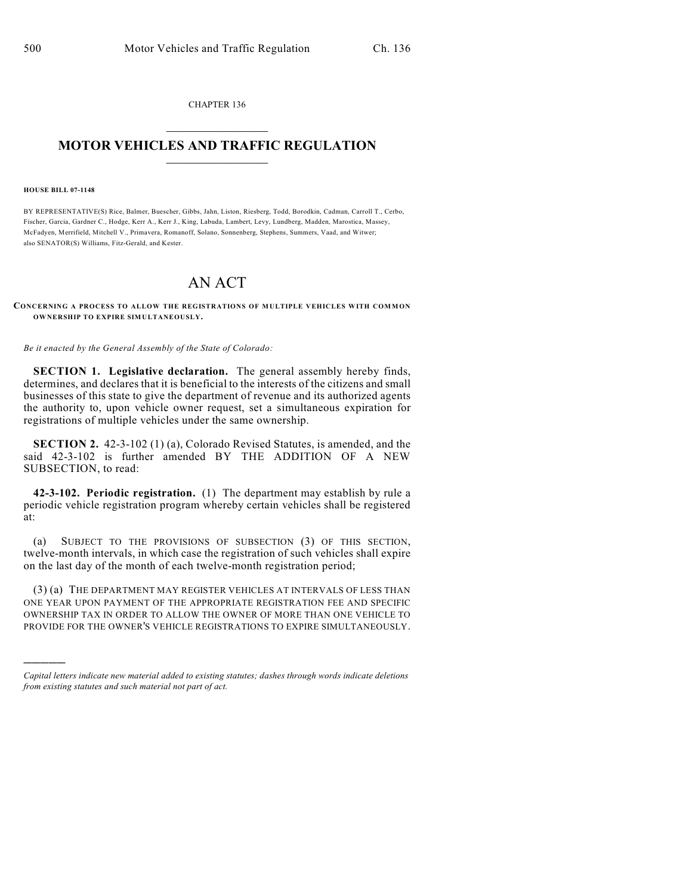CHAPTER 136  $\mathcal{L}_\text{max}$  . The set of the set of the set of the set of the set of the set of the set of the set of the set of the set of the set of the set of the set of the set of the set of the set of the set of the set of the set

## **MOTOR VEHICLES AND TRAFFIC REGULATION**  $\frac{1}{2}$  ,  $\frac{1}{2}$  ,  $\frac{1}{2}$  ,  $\frac{1}{2}$  ,  $\frac{1}{2}$  ,  $\frac{1}{2}$  ,  $\frac{1}{2}$  ,  $\frac{1}{2}$

**HOUSE BILL 07-1148**

)))))

BY REPRESENTATIVE(S) Rice, Balmer, Buescher, Gibbs, Jahn, Liston, Riesberg, Todd, Borodkin, Cadman, Carroll T., Cerbo, Fischer, Garcia, Gardner C., Hodge, Kerr A., Kerr J., King, Labuda, Lambert, Levy, Lundberg, Madden, Marostica, Massey, McFadyen, Merrifield, Mitchell V., Primavera, Romanoff, Solano, Sonnenberg, Stephens, Summers, Vaad, and Witwer; also SENATOR(S) Williams, Fitz-Gerald, and Kester.

## AN ACT

## **CONCERNING A PROCESS TO ALLOW THE REGISTRATIONS OF MULTIPLE VEHICLES WITH COMMON OWNERSHIP TO EXPIRE SIMULTANEOUSLY.**

*Be it enacted by the General Assembly of the State of Colorado:*

**SECTION 1. Legislative declaration.** The general assembly hereby finds, determines, and declares that it is beneficial to the interests of the citizens and small businesses of this state to give the department of revenue and its authorized agents the authority to, upon vehicle owner request, set a simultaneous expiration for registrations of multiple vehicles under the same ownership.

**SECTION 2.** 42-3-102 (1) (a), Colorado Revised Statutes, is amended, and the said 42-3-102 is further amended BY THE ADDITION OF A NEW SUBSECTION, to read:

**42-3-102. Periodic registration.** (1) The department may establish by rule a periodic vehicle registration program whereby certain vehicles shall be registered at:

(a) SUBJECT TO THE PROVISIONS OF SUBSECTION (3) OF THIS SECTION, twelve-month intervals, in which case the registration of such vehicles shall expire on the last day of the month of each twelve-month registration period;

(3) (a) THE DEPARTMENT MAY REGISTER VEHICLES AT INTERVALS OF LESS THAN ONE YEAR UPON PAYMENT OF THE APPROPRIATE REGISTRATION FEE AND SPECIFIC OWNERSHIP TAX IN ORDER TO ALLOW THE OWNER OF MORE THAN ONE VEHICLE TO PROVIDE FOR THE OWNER'S VEHICLE REGISTRATIONS TO EXPIRE SIMULTANEOUSLY.

*Capital letters indicate new material added to existing statutes; dashes through words indicate deletions from existing statutes and such material not part of act.*